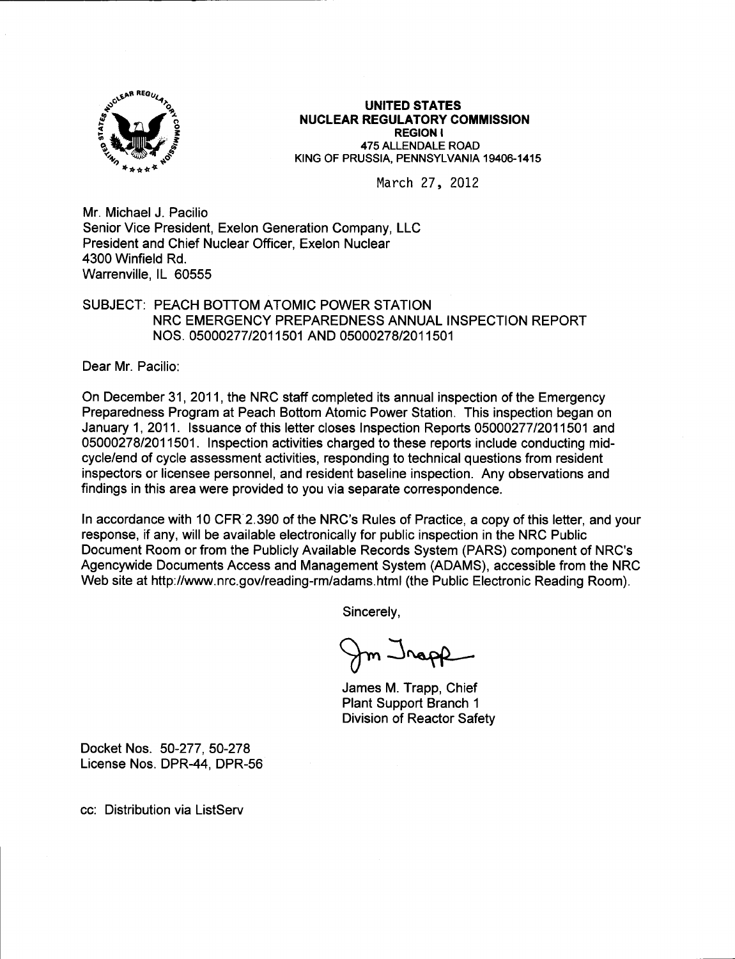

## UNITED STATES NUCLEAR REGULATORY COMMISSION REGION I 475 ALLENDALE ROAD

KING OF PRUSSIA, PENNSYLVANIA 19406-1415

March 27, 2012

Mr. Michael J. Pacilio Senior Vice President, Exelon Generation Company, LLC President and Chief Nuclear Officer, Exelon Nuclear 4300 Winfield Rd. Warrenville, lL 60555

## SUBJECT: PEACH BOTTOM ATOMIC POWER STATION NRC EMERGENCY PREPAREDNESS ANNUAL INSPECTION REPORT NOS. 05000277 t2011 501 AND 05000278/201 1501

Dear Mr. Pacilio:

On December 31 , 2011, the NRC staff completed its annual inspection of the Emergency Preparedness Program at Peach Bottom Atomic Power Station. This inspection began on January 1, 2011. Issuance of this letter closes Inspection Reports 05000277/2011501 and 05000278/2011501. Inspection activities charged to these reports include conducting midcycle/end of cycle assessment activities, responding to technical questions from resident inspectors or licensee personnel, and resident baseline inspection. Any observations and findings in this area were provided to you via separate correspondence.

ln accordance with 10 CFR 2.390 of the NRC's Rules of Practice, a copy of this letter, and your response, if any, will be available electronically for public inspection in the NRC Public Document Room or from the Publicly Available Records System (PARS) component of NRC's Agencywide Documents Access and Management System (ADAMS), accessible from the NRC Web site at http://www.nrc.gov/reading-rm/adams.html (the Public Electronic Reading Room).

Sincerely,

 $m$   $\lrcorner$   $\lrcorner$ 

James M. Trapp, Chief Plant Support Branch <sup>1</sup> Division of Reactor Safety

Docket Nos. 50-277, 50-278 License Nos. DPR-44. DPR-56

cc: Distribution via ListServ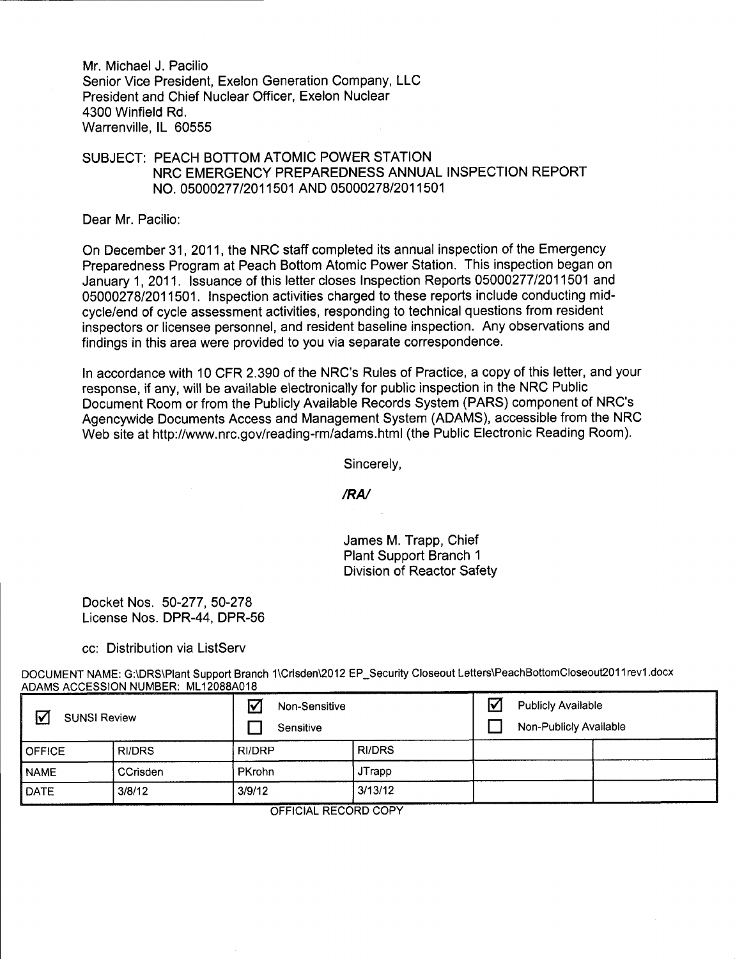Mr. Michael J. Pacilio Senior Vice President, Exelon Generation Company, LLC President and Chief Nuclear Officer, Exelon Nuclear 4300 Winfield Rd. Warrenville, lL 60555

## SUBJECT: PEACH BOTTOM ATOMIC POWER STATION NRC EMERGENCY PREPAREDNESS ANNUAL INSPECTION REPORT NO. 05000277 12011 501 AND 05000278/2011501

Dear Mr. Pacilio:

On December 31, 2011, the NRC staff completed its annual inspection of the Emergency Preparedness Program at Peach Bottom Atomic Power Station. This inspection began on January 1,2011. lssuance of this letter closes Inspection Reports 050002771201 1501 and 05000278/2011501. lnspection activities charged to these reports include conducting midcycle/end of cycle assessment activities, responding to technical questions from resident inspectors or licensee personnel, and resident baseline inspection. Any observations and findings in this area were provided to you via separate correspondence.

In accordance with 10 CFR 2.390 of the NRC's Rules of Practice, a copy of this letter, and your response, if any, will be available electronically for public inspection in the NRC Public Document Room or from the Publicly Available Records System (PARS) component of NRC's Agencywide Documents Access and Management System (ADAMS), accessible from the NRC Web site at http://www.nrc.gov/reading-rm/adams.html (the Public Electronic Reading Room).

Sincerely,

/RN

James M. Trapp, Chief Plant Support Branch <sup>1</sup> Division of Reactor Safety

Docket Nos. 50-277, 50-278 License Nos. DPR-44, DPR-56

cc: Distribution via ListServ

DOCUMENT NAME: G:\DRS\Plant Support Branch 1\Crisden\2012 EP\_Security Closeout Letters\PeachBottomCloseout2011rev1.docx ADAMS ACCESSION NUMBER: ML12088A018

| $\boldsymbol{\nabla}$<br><b>SUNSI Review</b> |               | $\triangledown$<br>Non-Sensitive<br>Sensitive |               | $\triangledown$ | <b>Publicly Available</b><br>Non-Publicly Available |  |
|----------------------------------------------|---------------|-----------------------------------------------|---------------|-----------------|-----------------------------------------------------|--|
| <b>OFFICE</b>                                | <b>RI/DRS</b> | <b>RI/DRP</b>                                 | <b>RI/DRS</b> |                 |                                                     |  |
| <b>NAME</b>                                  | CCrisden      | <b>PKrohn</b>                                 | <b>JTrapp</b> |                 |                                                     |  |
| <b>DATE</b>                                  | 3/8/12        | 3/9/12                                        | 3/13/12       |                 |                                                     |  |

OFFICIAL RECORD COPY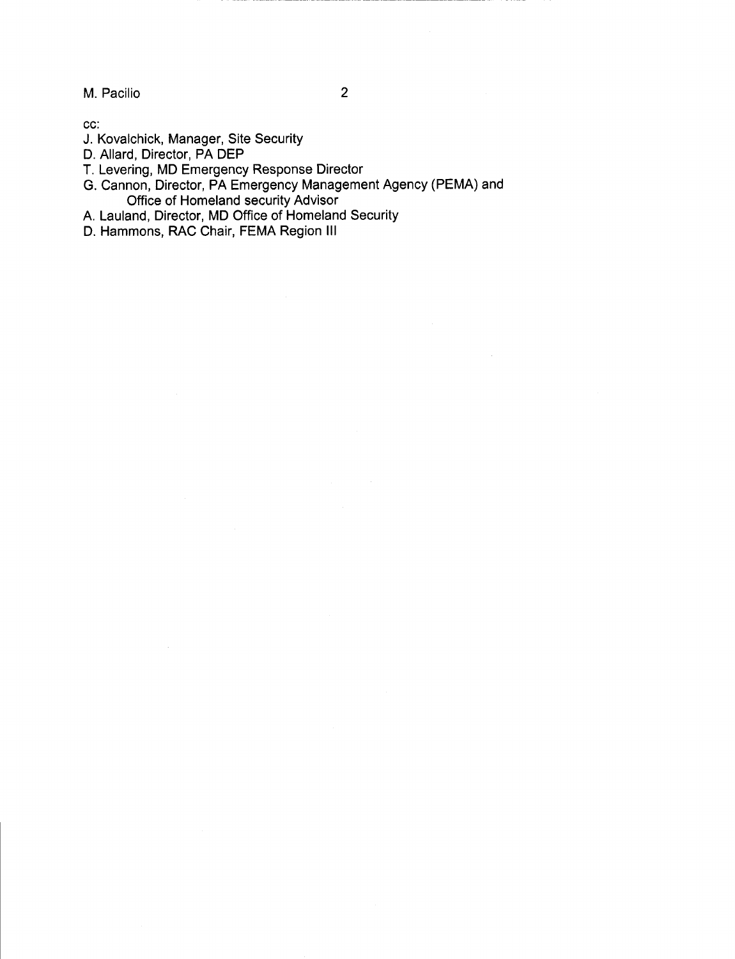M. Pacilio

cc:

- J. Kovalchick, Manager, Site Security
- D. Allard, Director, PA DEP
- T. Levering, MD Emergency Response Director
- G. Cannon, Director, PA Emergency Management Agency (PEMA) and Office of Homeland security Advisor
- A. Lauland, Director, MD Office of Homeland Security
- D. Hammons, RAC Chair, FEMA Region III